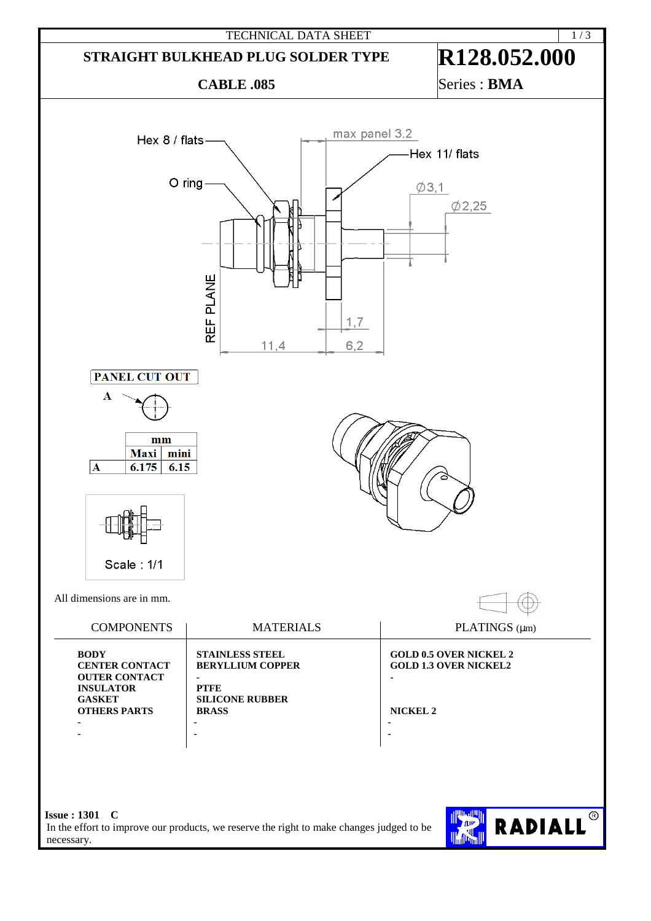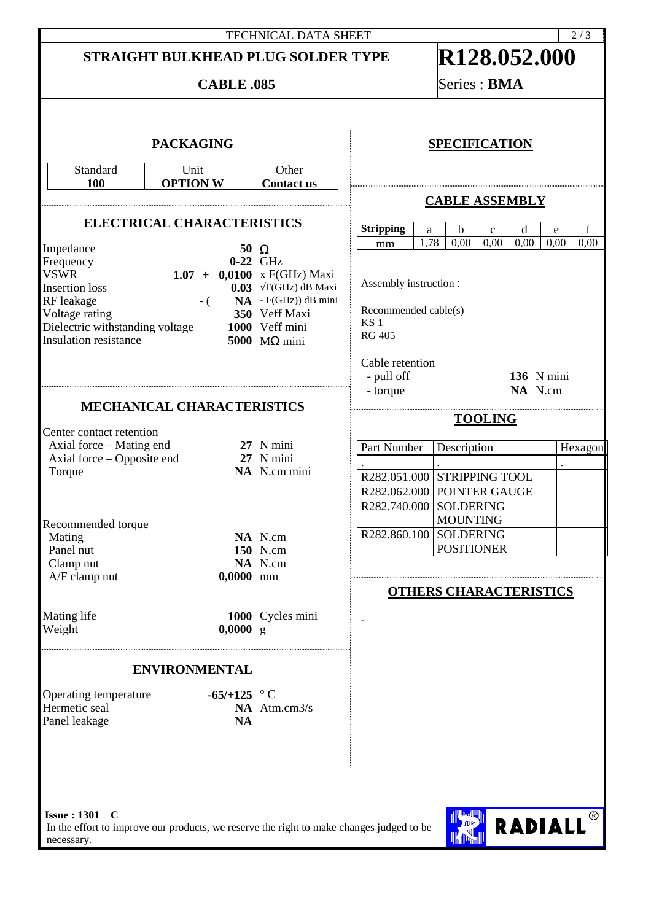## TECHNICAL DATA SHEET 2/3 **STRAIGHT BULKHEAD PLUG SOLDER TYPE R128.052.000 CABLE .085** Series : **BMA PACKAGING** Standard Unit Other **100 OPTION W Contact us ELECTRICAL CHARACTERISTICS** Impedance **50** Ω Frequency<br>VSWR VSWR **1.07** + **0,0100** x F(GHz) Maxi<br>Insertion loss **1.07** + **0,0100** x F(GHz) dB Maxi **0.03**  $\sqrt{F}$ (GHz) dB Maxi RF leakage - ( **NA** - F(GHz)) dB mini<br>Voltage rating 350 Veff Maxi Voltage rating **350** Veff Maxi<br>Dielectric withstanding voltage **1000** Veff mini Dielectric withstanding voltage **1000** Veff mini **Insulation resistance MECHANICAL CHARACTERISTICS** Center contact retention Axial force – Mating end **27** N mini<br>Axial force – Opposite end 27 N mini Axial force – Opposite end<br>Torque NA N.cm mini Recommended torque Mating **NA** N.cm<br>Panel nut **150** N cm Panel nut **150** N.cm<br>Clamp nut **150** N.cm Clamp nut A/F clamp nut **0,0000** mm Mating life **1000** Cycles mini<br>Weight **1000** Q  $0,0000 \text{ g}$ **ENVIRONMENTAL** Operating temperature **-65/+125** ° C<br>Hermetic seal **NA** Atm NA Atm.cm3/s Panel leakage **NA SPECIFICATION CABLE ASSEMBLY Stripping** a b c d e f<br>mm 1.78 0.00 0.00 0.00 0.00 0.0 mm | 1,78 | 0,00 | 0,00 | 0,00 | 0,00 | 0,00 Assembly instruction : Recommended cable(s) KS 1 RG 405 Cable retention - pull off **136** N mini - torque **NA** N.cm **TOOLING**  Part Number Description Hexagon . . . R282.051.000 STRIPPING TOOL R282.062.000 POINTER GAUGE R282.740.000 SOLDERING MOUNTING R282.860.100 SOLDERING POSITIONER **OTHERS CHARACTERISTICS** -